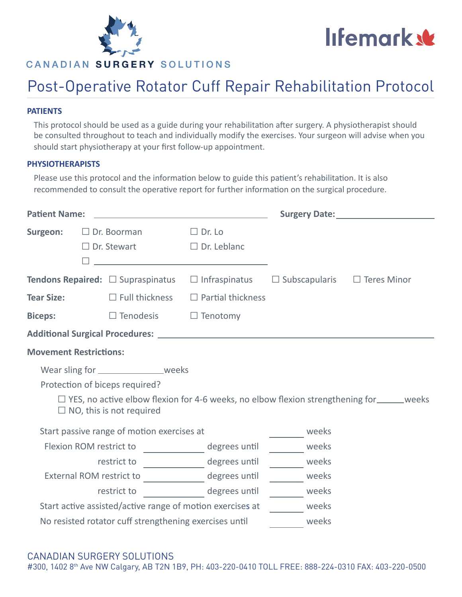

# CANADIAN SURGERY SOLUTIONS

# lifemark &

# Post-Operative Rotator Cuff Repair Rehabilitation Protocol

#### **PATIENTS**

This protocol should be used as a guide during your rehabilitation after surgery. A physiotherapist should be consulted throughout to teach and individually modify the exercises. Your surgeon will advise when you should start physiotherapy at your first follow-up appointment.

#### **PHYSIOTHERAPISTS**

Please use this protocol and the information below to guide this patient's rehabilitation. It is also recommended to consult the operative report for further information on the surgical procedure.

| <b>Patient Name:</b>                                      |  |                                               |                                     |                      | Surgery Date: <u>contract and the set of the set of the set of the set of the set of the set of the set of the set of the set of the set of the set of the set of the set of the set of the set of the set of the set of the set</u> |                                                                                                    |  |  |  |
|-----------------------------------------------------------|--|-----------------------------------------------|-------------------------------------|----------------------|--------------------------------------------------------------------------------------------------------------------------------------------------------------------------------------------------------------------------------------|----------------------------------------------------------------------------------------------------|--|--|--|
| Surgeon:                                                  |  | $\Box$ Dr. Boorman<br>$\Box$ Dr. Stewart      | $\Box$ Dr. Lo<br>$\Box$ Dr. Leblanc |                      |                                                                                                                                                                                                                                      |                                                                                                    |  |  |  |
|                                                           |  | <b>Tendons Repaired:</b> $\Box$ Supraspinatus | $\Box$ Infraspinatus                | $\Box$ Subscapularis |                                                                                                                                                                                                                                      | $\Box$ Teres Minor                                                                                 |  |  |  |
| <b>Tear Size:</b>                                         |  | $\Box$ Full thickness                         | $\Box$ Partial thickness            |                      |                                                                                                                                                                                                                                      |                                                                                                    |  |  |  |
| <b>Biceps:</b>                                            |  | $\square$ Tenodesis                           | $\Box$ Tenotomy                     |                      |                                                                                                                                                                                                                                      |                                                                                                    |  |  |  |
|                                                           |  |                                               |                                     |                      |                                                                                                                                                                                                                                      |                                                                                                    |  |  |  |
| <b>Movement Restrictions:</b>                             |  |                                               |                                     |                      |                                                                                                                                                                                                                                      |                                                                                                    |  |  |  |
|                                                           |  | Wear sling for _________________weeks         |                                     |                      |                                                                                                                                                                                                                                      |                                                                                                    |  |  |  |
|                                                           |  | Protection of biceps required?                |                                     |                      |                                                                                                                                                                                                                                      |                                                                                                    |  |  |  |
|                                                           |  | $\Box$ NO, this is not required               |                                     |                      |                                                                                                                                                                                                                                      | $\Box$ YES, no active elbow flexion for 4-6 weeks, no elbow flexion strengthening for ______ weeks |  |  |  |
| Start passive range of motion exercises at                |  |                                               |                                     |                      | weeks                                                                                                                                                                                                                                |                                                                                                    |  |  |  |
| Flexion ROM restrict to                                   |  |                                               | degrees until                       |                      | weeks                                                                                                                                                                                                                                |                                                                                                    |  |  |  |
| restrict to                                               |  |                                               | degrees until                       |                      | weeks                                                                                                                                                                                                                                |                                                                                                    |  |  |  |
| External ROM restrict to                                  |  |                                               | degrees until                       |                      | weeks                                                                                                                                                                                                                                |                                                                                                    |  |  |  |
|                                                           |  | restrict to                                   | degrees until                       |                      | weeks                                                                                                                                                                                                                                |                                                                                                    |  |  |  |
| Start active assisted/active range of motion exercises at |  |                                               |                                     |                      | weeks                                                                                                                                                                                                                                |                                                                                                    |  |  |  |
| No resisted rotator cuff strengthening exercises until    |  |                                               |                                     |                      | weeks                                                                                                                                                                                                                                |                                                                                                    |  |  |  |

## CANADIAN SURGERY SOLUTIONS

#300, 1402 8th Ave NW Calgary, AB T2N 1B9, PH: 403-220-0410 TOLL FREE: 888-224-0310 FAX: 403-220-0500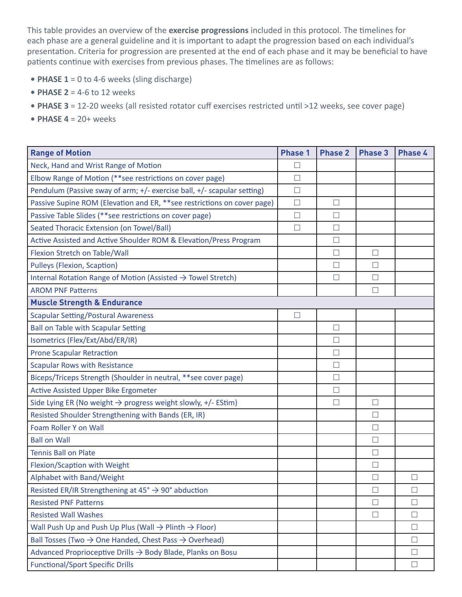This table provides an overview of the **exercise progressions** included in this protocol. The timelines for each phase are a general guideline and it is important to adapt the progression based on each individual's presentation. Criteria for progression are presented at the end of each phase and it may be beneficial to have patients continue with exercises from previous phases. The timelines are as follows:

- **• PHASE 1** = 0 to 4-6 weeks (sling discharge)
- **• PHASE 2** = 4-6 to 12 weeks
- **• PHASE 3** = 12-20 weeks (all resisted rotator cuff exercises restricted until >12 weeks, see cover page)
- **• PHASE 4** = 20+ weeks

| <b>Range of Motion</b>                                                        | <b>Phase 1</b> | <b>Phase 2</b> | <b>Phase 3</b> | <b>Phase 4</b> |  |  |  |  |
|-------------------------------------------------------------------------------|----------------|----------------|----------------|----------------|--|--|--|--|
| Neck, Hand and Wrist Range of Motion                                          | $\Box$         |                |                |                |  |  |  |  |
| Elbow Range of Motion (**see restrictions on cover page)                      | $\Box$         |                |                |                |  |  |  |  |
| Pendulum (Passive sway of arm; +/- exercise ball, +/- scapular setting)       | $\Box$         |                |                |                |  |  |  |  |
| Passive Supine ROM (Elevation and ER, **see restrictions on cover page)       | $\Box$         | $\Box$         |                |                |  |  |  |  |
| Passive Table Slides (**see restrictions on cover page)                       | $\Box$         | $\Box$         |                |                |  |  |  |  |
| Seated Thoracic Extension (on Towel/Ball)                                     | $\Box$         | $\Box$         |                |                |  |  |  |  |
| Active Assisted and Active Shoulder ROM & Elevation/Press Program             |                | $\Box$         |                |                |  |  |  |  |
| Flexion Stretch on Table/Wall                                                 |                | $\Box$         | $\Box$         |                |  |  |  |  |
| Pulleys (Flexion, Scaption)                                                   |                | $\Box$         | $\Box$         |                |  |  |  |  |
| Internal Rotation Range of Motion (Assisted $\rightarrow$ Towel Stretch)      |                | П              | $\Box$         |                |  |  |  |  |
| <b>AROM PNF Patterns</b>                                                      |                |                | $\Box$         |                |  |  |  |  |
| <b>Muscle Strength &amp; Endurance</b>                                        |                |                |                |                |  |  |  |  |
| <b>Scapular Setting/Postural Awareness</b>                                    | $\Box$         |                |                |                |  |  |  |  |
| <b>Ball on Table with Scapular Setting</b>                                    |                | $\Box$         |                |                |  |  |  |  |
| Isometrics (Flex/Ext/Abd/ER/IR)                                               |                | $\Box$         |                |                |  |  |  |  |
| <b>Prone Scapular Retraction</b>                                              |                | $\Box$         |                |                |  |  |  |  |
| <b>Scapular Rows with Resistance</b>                                          |                | $\Box$         |                |                |  |  |  |  |
| Biceps/Triceps Strength (Shoulder in neutral, **see cover page)               |                | $\Box$         |                |                |  |  |  |  |
| <b>Active Assisted Upper Bike Ergometer</b>                                   |                | $\Box$         |                |                |  |  |  |  |
| Side Lying ER (No weight $\rightarrow$ progress weight slowly, +/- EStim)     |                | $\Box$         | $\Box$         |                |  |  |  |  |
| Resisted Shoulder Strengthening with Bands (ER, IR)                           |                |                | $\Box$         |                |  |  |  |  |
| Foam Roller Y on Wall                                                         |                |                | $\Box$         |                |  |  |  |  |
| <b>Ball on Wall</b>                                                           |                |                | П              |                |  |  |  |  |
| <b>Tennis Ball on Plate</b>                                                   |                |                | $\Box$         |                |  |  |  |  |
| Flexion/Scaption with Weight                                                  |                |                | $\Box$         |                |  |  |  |  |
| Alphabet with Band/Weight                                                     |                |                | $\Box$         |                |  |  |  |  |
| Resisted ER/IR Strengthening at $45^{\circ} \rightarrow 90^{\circ}$ abduction |                |                | $\Box$         | $\Box$         |  |  |  |  |
| <b>Resisted PNF Patterns</b>                                                  |                |                | $\Box$         | $\Box$         |  |  |  |  |
| <b>Resisted Wall Washes</b>                                                   |                |                | $\Box$         | $\Box$         |  |  |  |  |
| Wall Push Up and Push Up Plus (Wall $\rightarrow$ Plinth $\rightarrow$ Floor) |                |                |                | $\perp$        |  |  |  |  |
| Ball Tosses (Two $\rightarrow$ One Handed, Chest Pass $\rightarrow$ Overhead) |                |                |                | П              |  |  |  |  |
| Advanced Proprioceptive Drills → Body Blade, Planks on Bosu                   |                |                |                | $\Box$         |  |  |  |  |
| <b>Functional/Sport Specific Drills</b>                                       |                |                |                | $\Box$         |  |  |  |  |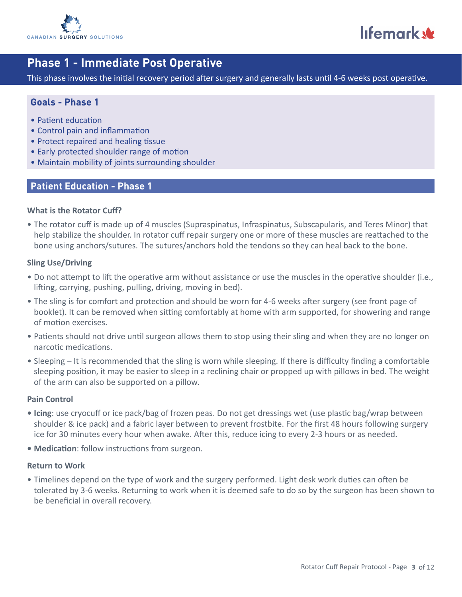

lifemark w

# **Phase 1 - Immediate Post Operative**

This phase involves the initial recovery period after surgery and generally lasts until 4-6 weeks post operative.

#### **Goals - Phase 1**

- Patient education
- Control pain and inflammation
- Protect repaired and healing tissue
- Early protected shoulder range of motion
- Maintain mobility of joints surrounding shoulder

#### **Patient Education - Phase 1**

#### **What is the Rotator Cuff?**

• The rotator cuff is made up of 4 muscles (Supraspinatus, Infraspinatus, Subscapularis, and Teres Minor) that help stabilize the shoulder. In rotator cuff repair surgery one or more of these muscles are reattached to the bone using anchors/sutures. The sutures/anchors hold the tendons so they can heal back to the bone.

#### **Sling Use/Driving**

- Do not attempt to lift the operative arm without assistance or use the muscles in the operative shoulder (i.e., lifting, carrying, pushing, pulling, driving, moving in bed).
- The sling is for comfort and protection and should be worn for 4-6 weeks after surgery (see front page of booklet). It can be removed when sitting comfortably at home with arm supported, for showering and range of motion exercises.
- Patients should not drive until surgeon allows them to stop using their sling and when they are no longer on narcotic medications.
- Sleeping It is recommended that the sling is worn while sleeping. If there is difficulty finding a comfortable sleeping position, it may be easier to sleep in a reclining chair or propped up with pillows in bed. The weight of the arm can also be supported on a pillow.

#### **Pain Control**

- **• Icing**: use cryocuff or ice pack/bag of frozen peas. Do not get dressings wet (use plastic bag/wrap between shoulder & ice pack) and a fabric layer between to prevent frostbite. For the first 48 hours following surgery ice for 30 minutes every hour when awake. After this, reduce icing to every 2-3 hours or as needed.
- **• Medication**: follow instructions from surgeon.

#### **Return to Work**

• Timelines depend on the type of work and the surgery performed. Light desk work duties can often be tolerated by 3-6 weeks. Returning to work when it is deemed safe to do so by the surgeon has been shown to be beneficial in overall recovery.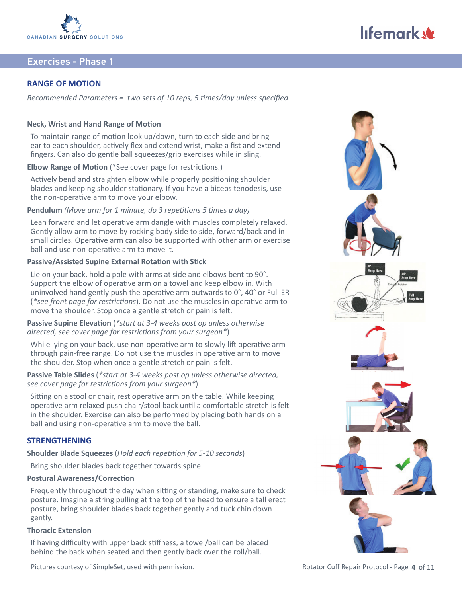

#### **RANGE OF MOTION**

*Recommended Parameters = two sets of 10 reps, 5 times/day unless specified*

#### **Neck, Wrist and Hand Range of Motion**

To maintain range of motion look up/down, turn to each side and bring ear to each shoulder, actively flex and extend wrist, make a fist and extend fingers. Can also do gentle ball squeezes/grip exercises while in sling.

**Elbow Range of Motion** (\*See cover page for restrictions.)

Actively bend and straighten elbow while properly positioning shoulder blades and keeping shoulder stationary. If you have a biceps tenodesis, use the non-operative arm to move your elbow.

#### **Pendulum** *(Move arm for 1 minute, do 3 repetitions 5 times a day)*

Lean forward and let operative arm dangle with muscles completely relaxed. Gently allow arm to move by rocking body side to side, forward/back and in small circles. Operative arm can also be supported with other arm or exercise ball and use non-operative arm to move it.

#### **Passive/Assisted Supine External Rotation with Stick**

Lie on your back, hold a pole with arms at side and elbows bent to 90°. Support the elbow of operative arm on a towel and keep elbow in. With uninvolved hand gently push the operative arm outwards to 0°, 40° or Full ER (*\*see front page for restrictions*). Do not use the muscles in operative arm to move the shoulder. Stop once a gentle stretch or pain is felt.

**Passive Supine Elevation** (*\*start at 3-4 weeks post op unless otherwise directed, see cover page for restrictions from your surgeon\**)

While lying on your back, use non-operative arm to slowly lift operative arm through pain-free range. Do not use the muscles in operative arm to move the shoulder. Stop when once a gentle stretch or pain is felt.

**Passive Table Slides** (*\*start at 3-4 weeks post op unless otherwise directed, see cover page for restrictions from your surgeon\**)

Sitting on a stool or chair, rest operative arm on the table. While keeping operative arm relaxed push chair/stool back until a comfortable stretch is felt in the shoulder. Exercise can also be performed by placing both hands on a ball and using non-operative arm to move the ball.

#### **STRENGTHENING**

**Shoulder Blade Squeezes** (*Hold each repetition for 5-10 seconds*)

Bring shoulder blades back together towards spine.

#### **Postural Awareness/Correction**

Frequently throughout the day when sitting or standing, make sure to check posture. Imagine a string pulling at the top of the head to ensure a tall erect posture, bring shoulder blades back together gently and tuck chin down gently.

#### **Thoracic Extension**

If having difficulty with upper back stiffness, a towel/ball can be placed behind the back when seated and then gently back over the roll/ball.

Pictures courtesy of SimpleSet, used with permission. The result of the Rotator Cuff Repair Protocol - Page 4 of 11



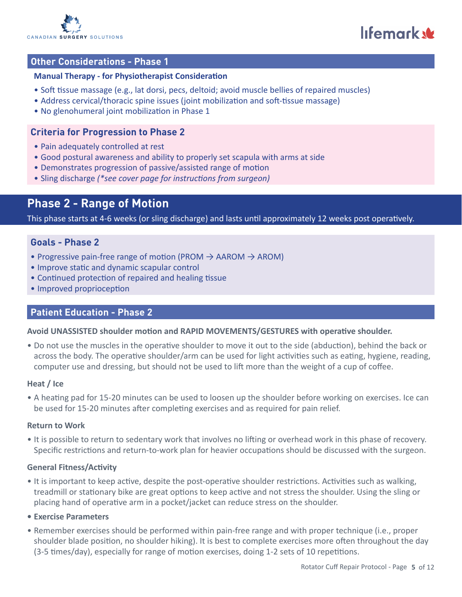

lifemark

### **Other Considerations - Phase 1**

#### **Manual Therapy - for Physiotherapist Consideration**

- Soft tissue massage (e.g., lat dorsi, pecs, deltoid; avoid muscle bellies of repaired muscles)
- Address cervical/thoracic spine issues (joint mobilization and soft-tissue massage)
- No glenohumeral joint mobilization in Phase 1

#### **Criteria for Progression to Phase 2**

- Pain adequately controlled at rest
- Good postural awareness and ability to properly set scapula with arms at side
- Demonstrates progression of passive/assisted range of motion
- Sling discharge *(\*see cover page for instructions from surgeon)*

# **Phase 2 - Range of Motion**

This phase starts at 4-6 weeks (or sling discharge) and lasts until approximately 12 weeks post operatively.

#### **Goals - Phase 2**

- Progressive pain-free range of motion (PROM  $\rightarrow$  AAROM  $\rightarrow$  AROM)
- Improve static and dynamic scapular control
- Continued protection of repaired and healing tissue
- Improved proprioception

#### **Patient Education - Phase 2**

#### **Avoid UNASSISTED shoulder motion and RAPID MOVEMENTS/GESTURES with operative shoulder.**

• Do not use the muscles in the operative shoulder to move it out to the side (abduction), behind the back or across the body. The operative shoulder/arm can be used for light activities such as eating, hygiene, reading, computer use and dressing, but should not be used to lift more than the weight of a cup of coffee.

#### **Heat / Ice**

• A heating pad for 15-20 minutes can be used to loosen up the shoulder before working on exercises. Ice can be used for 15-20 minutes after completing exercises and as required for pain relief.

#### **Return to Work**

• It is possible to return to sedentary work that involves no lifting or overhead work in this phase of recovery. Specific restrictions and return-to-work plan for heavier occupations should be discussed with the surgeon.

#### **General Fitness/Activity**

- It is important to keep active, despite the post-operative shoulder restrictions. Activities such as walking, treadmill or stationary bike are great options to keep active and not stress the shoulder. Using the sling or placing hand of operative arm in a pocket/jacket can reduce stress on the shoulder.
- **• Exercise Parameters**
- Remember exercises should be performed within pain-free range and with proper technique (i.e., proper shoulder blade position, no shoulder hiking). It is best to complete exercises more often throughout the day (3-5 times/day), especially for range of motion exercises, doing 1-2 sets of 10 repetitions.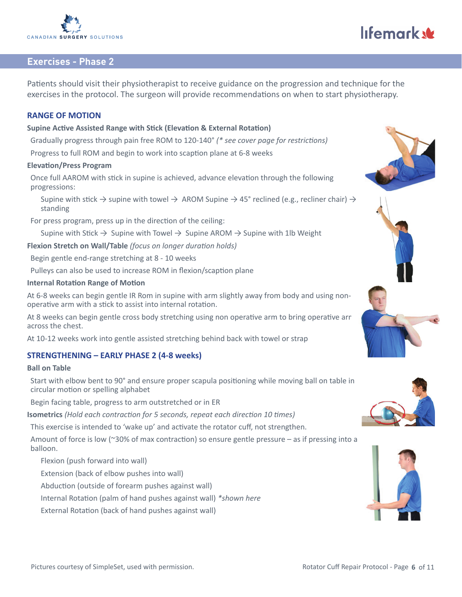

Patients should visit their physiotherapist to receive guidance on the progression and technique for the exercises in the protocol. The surgeon will provide recommendations on when to start physiotherapy.

#### **RANGE OF MOTION**

#### **Supine Active Assisted Range with Stick (Elevation & External Rotation)**

Gradually progress through pain free ROM to 120-140° *(\* see cover page for restrictions)*

Progress to full ROM and begin to work into scaption plane at 6-8 weeks

#### **Elevation/Press Program**

Once full AAROM with stick in supine is achieved, advance elevation through the following progressions:

Supine with stick  $\rightarrow$  supine with towel  $\rightarrow$  AROM Supine  $\rightarrow$  45° reclined (e.g., recliner chair)  $\rightarrow$ standing

For press program, press up in the direction of the ceiling:

Supine with Stick  $\rightarrow$  Supine with Towel  $\rightarrow$  Supine AROM  $\rightarrow$  Supine with 1lb Weight

**Flexion Stretch on Wall/Table** *(focus on longer duration holds)*

Begin gentle end-range stretching at 8 - 10 weeks

Pulleys can also be used to increase ROM in flexion/scaption plane

#### **Internal Rotation Range of Motion**

At 6-8 weeks can begin gentle IR Rom in supine with arm slightly away from body and using nonoperative arm with a stick to assist into internal rotation.

At 8 weeks can begin gentle cross body stretching using non operative arm to bring operative arm across the chest.

At 10-12 weeks work into gentle assisted stretching behind back with towel or strap

#### **STRENGTHENING – EARLY PHASE 2 (4-8 weeks)**

#### **Ball on Table**

Start with elbow bent to 90° and ensure proper scapula positioning while moving ball on table in circular motion or spelling alphabet

Begin facing table, progress to arm outstretched or in ER

**Isometrics** *(Hold each contraction for 5 seconds, repeat each direction 10 times)*

This exercise is intended to 'wake up' and activate the rotator cuff, not strengthen.

Amount of force is low (~30% of max contraction) so ensure gentle pressure – as if pressing into a balloon.

Flexion (push forward into wall)

Extension (back of elbow pushes into wall)

Abduction (outside of forearm pushes against wall)

Internal Rotation (palm of hand pushes against wall) *\*shown here*

External Rotation (back of hand pushes against wall)







# lifemark &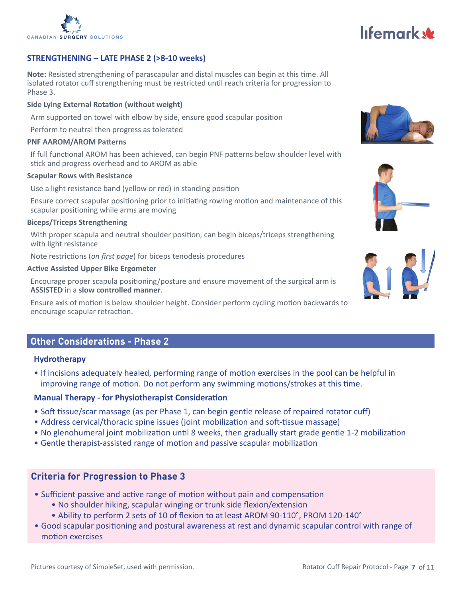

#### **STRENGTHENING – LATE PHASE 2 (>8-10 weeks)**

**Note:** Resisted strengthening of parascapular and distal muscles can begin at this time. All isolated rotator cuff strengthening must be restricted until reach criteria for progression to Phase 3.

#### **Side Lying External Rotation (without weight)**

Arm supported on towel with elbow by side, ensure good scapular position

Perform to neutral then progress as tolerated

#### **PNF AAROM/AROM Patterns**

If full functional AROM has been achieved, can begin PNF patterns below shoulder level with stick and progress overhead and to AROM as able

#### **Scapular Rows with Resistance**

Use a light resistance band (yellow or red) in standing position

Ensure correct scapular positioning prior to initiating rowing motion and maintenance of this scapular positioning while arms are moving

#### **Biceps/Triceps Strengthening**

With proper scapula and neutral shoulder position, can begin biceps/triceps strengthening with light resistance

Note restrictions (*on first page*) for biceps tenodesis procedures

#### **Active Assisted Upper Bike Ergometer**

Encourage proper scapula positioning/posture and ensure movement of the surgical arm is **ASSISTED** in a **slow controlled manner**.

Ensure axis of motion is below shoulder height. Consider perform cycling motion backwards to encourage scapular retraction.

#### **Other Considerations - Phase 2**

#### **Hydrotherapy**

• If incisions adequately healed, performing range of motion exercises in the pool can be helpful in improving range of motion. Do not perform any swimming motions/strokes at this time.

#### **Manual Therapy - for Physiotherapist Consideration**

- Soft tissue/scar massage (as per Phase 1, can begin gentle release of repaired rotator cuff)
- Address cervical/thoracic spine issues (joint mobilization and soft-tissue massage)
- No glenohumeral joint mobilization until 8 weeks, then gradually start grade gentle 1-2 mobilization
- Gentle therapist-assisted range of motion and passive scapular mobilization

#### **Criteria for Progression to Phase 3**

- Sufficient passive and active range of motion without pain and compensation
	- No shoulder hiking, scapular winging or trunk side flexion/extension
	- Ability to perform 2 sets of 10 of flexion to at least AROM 90-110°, PROM 120-140°
- Good scapular positioning and postural awareness at rest and dynamic scapular control with range of motion exercises





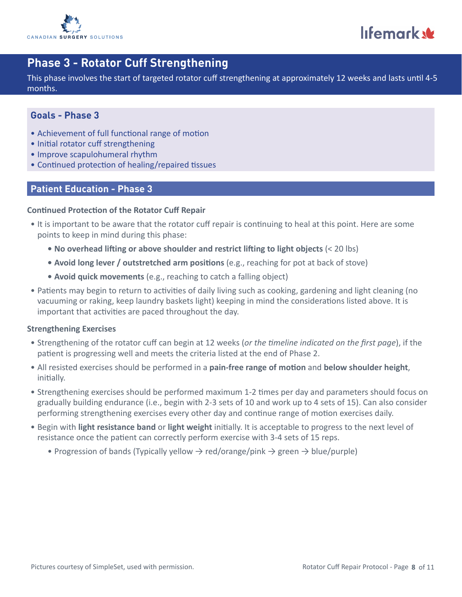

lifemark w

# **Phase 3 - Rotator Cuff Strengthening**

This phase involves the start of targeted rotator cuff strengthening at approximately 12 weeks and lasts until 4-5 months.

### **Goals - Phase 3**

- Achievement of full functional range of motion
- Initial rotator cuff strengthening
- Improve scapulohumeral rhythm
- Continued protection of healing/repaired tissues

#### **Patient Education - Phase 3**

#### **Continued Protection of the Rotator Cuff Repair**

- It is important to be aware that the rotator cuff repair is continuing to heal at this point. Here are some points to keep in mind during this phase:
	- **• No overhead lifting or above shoulder and restrict lifting to light objects** (< 20 lbs)
	- **• Avoid long lever / outstretched arm positions** (e.g., reaching for pot at back of stove)
	- **• Avoid quick movements** (e.g., reaching to catch a falling object)
- Patients may begin to return to activities of daily living such as cooking, gardening and light cleaning (no vacuuming or raking, keep laundry baskets light) keeping in mind the considerations listed above. It is important that activities are paced throughout the day.

#### **Strengthening Exercises**

- Strengthening of the rotator cuff can begin at 12 weeks (*or the timeline indicated on the first page*), if the patient is progressing well and meets the criteria listed at the end of Phase 2.
- All resisted exercises should be performed in a **pain-free range of motion** and **below shoulder height**, initially.
- Strengthening exercises should be performed maximum 1-2 times per day and parameters should focus on gradually building endurance (i.e., begin with 2-3 sets of 10 and work up to 4 sets of 15). Can also consider performing strengthening exercises every other day and continue range of motion exercises daily.
- Begin with **light resistance band** or **light weight** initially. It is acceptable to progress to the next level of resistance once the patient can correctly perform exercise with 3-4 sets of 15 reps.
	- Progression of bands (Typically yellow  $\rightarrow$  red/orange/pink  $\rightarrow$  green  $\rightarrow$  blue/purple)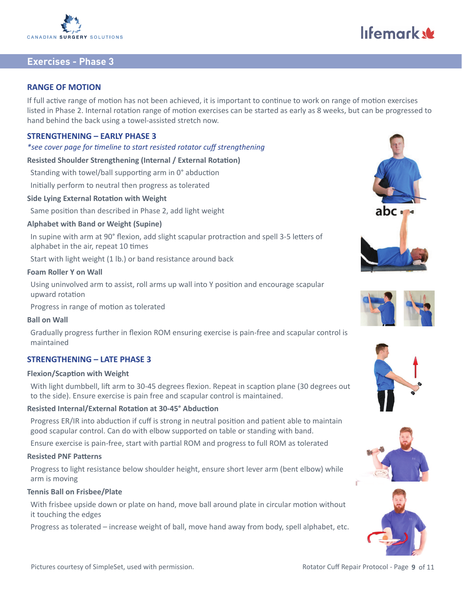

#### **RANGE OF MOTION**

If full active range of motion has not been achieved, it is important to continue to work on range of motion exercises listed in Phase 2. Internal rotation range of motion exercises can be started as early as 8 weeks, but can be progressed to hand behind the back using a towel-assisted stretch now.

#### **STRENGTHENING – EARLY PHASE 3**

#### *\*see cover page for timeline to start resisted rotator cuff strengthening*

**Resisted Shoulder Strengthening (Internal / External Rotation)**

Standing with towel/ball supporting arm in 0° abduction

Initially perform to neutral then progress as tolerated

#### **Side Lying External Rotation with Weight**

Same position than described in Phase 2, add light weight

#### **Alphabet with Band or Weight (Supine)**

In supine with arm at 90° flexion, add slight scapular protraction and spell 3-5 letters of alphabet in the air, repeat 10 times

Start with light weight (1 lb.) or band resistance around back

#### **Foam Roller Y on Wall**

Using uninvolved arm to assist, roll arms up wall into Y position and encourage scapular upward rotation

Progress in range of motion as tolerated

#### **Ball on Wall**

Gradually progress further in flexion ROM ensuring exercise is pain-free and scapular control is maintained

#### **STRENGTHENING – LATE PHASE 3**

#### **Flexion/Scaption with Weight**

With light dumbbell, lift arm to 30-45 degrees flexion. Repeat in scaption plane (30 degrees out to the side). Ensure exercise is pain free and scapular control is maintained.

#### **Resisted Internal/External Rotation at 30-45° Abduction**

Progress ER/IR into abduction if cuff is strong in neutral position and patient able to maintain good scapular control. Can do with elbow supported on table or standing with band.

Ensure exercise is pain-free, start with partial ROM and progress to full ROM as tolerated

#### **Resisted PNF Patterns**

Progress to light resistance below shoulder height, ensure short lever arm (bent elbow) while arm is moving

#### **Tennis Ball on Frisbee/Plate**

With frisbee upside down or plate on hand, move ball around plate in circular motion without it touching the edges

Progress as tolerated – increase weight of ball, move hand away from body, spell alphabet, etc.



lifemark &







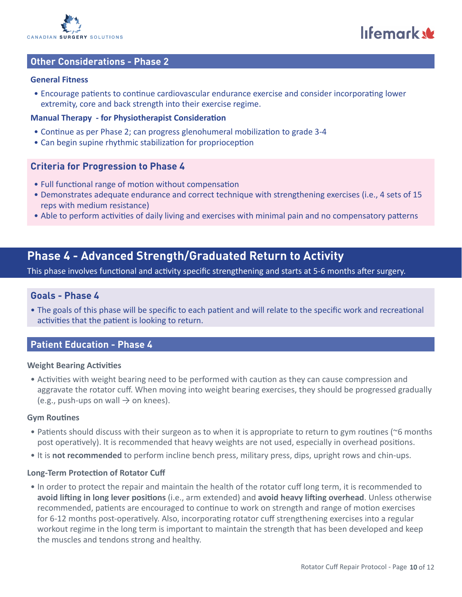

lifemark

#### **Other Considerations - Phase 2**

#### **General Fitness**

• Encourage patients to continue cardiovascular endurance exercise and consider incorporating lower extremity, core and back strength into their exercise regime.

#### **Manual Therapy - for Physiotherapist Consideration**

- Continue as per Phase 2; can progress glenohumeral mobilization to grade 3-4
- Can begin supine rhythmic stabilization for proprioception

#### **Criteria for Progression to Phase 4**

- Full functional range of motion without compensation
- Demonstrates adequate endurance and correct technique with strengthening exercises (i.e., 4 sets of 15 reps with medium resistance)
- Able to perform activities of daily living and exercises with minimal pain and no compensatory patterns

# **Phase 4 - Advanced Strength/Graduated Return to Activity**

This phase involves functional and activity specific strengthening and starts at 5-6 months after surgery.

#### **Goals - Phase 4**

• The goals of this phase will be specific to each patient and will relate to the specific work and recreational activities that the patient is looking to return.

#### **Patient Education - Phase 4**

#### **Weight Bearing Activities**

• Activities with weight bearing need to be performed with caution as they can cause compression and aggravate the rotator cuff. When moving into weight bearing exercises, they should be progressed gradually (e.g., push-ups on wall  $\rightarrow$  on knees).

#### **Gym Routines**

- Patients should discuss with their surgeon as to when it is appropriate to return to gym routines (~6 months post operatively). It is recommended that heavy weights are not used, especially in overhead positions.
- It is **not recommended** to perform incline bench press, military press, dips, upright rows and chin-ups.

#### **Long-Term Protection of Rotator Cuff**

• In order to protect the repair and maintain the health of the rotator cuff long term, it is recommended to **avoid lifting in long lever positions** (i.e., arm extended) and **avoid heavy lifting overhead**. Unless otherwise recommended, patients are encouraged to continue to work on strength and range of motion exercises for 6-12 months post-operatively. Also, incorporating rotator cuff strengthening exercises into a regular workout regime in the long term is important to maintain the strength that has been developed and keep the muscles and tendons strong and healthy.